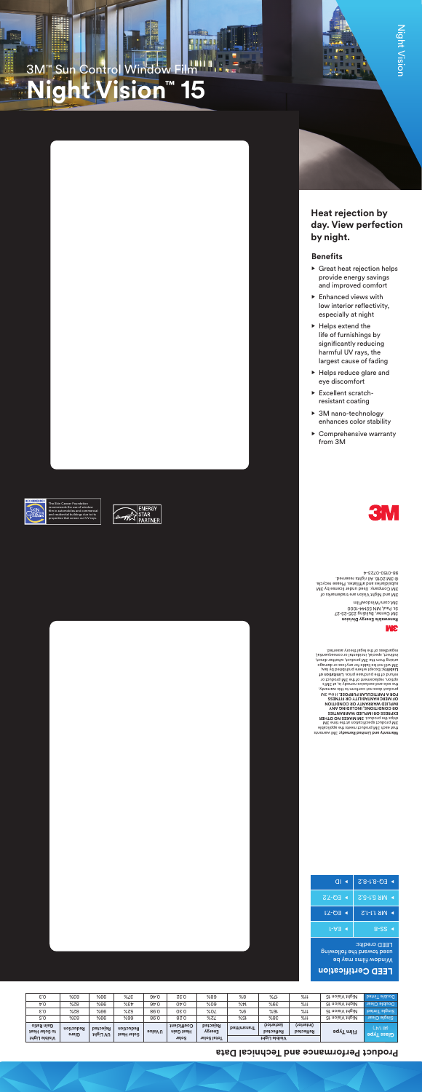

# **3M™ Sun Control Window Film<br>Nicht Vision™ 15**  $'$ ision

 $\overline{\mathbf{u}}$ 



### **Benefits**

- Great heat rejection helps provide energy savings and improved comfort
- Enhanced views with low interior reflectivity, especially at night
- Helps extend the life of furnishings by significantly reducing harmful UV rays, the largest cause of fading
- Helps reduce glare and eye discomfort
- Excellent scratchresistant coating
- 3M nano-technology enhances color stability
- Comprehensive warranty from 3M



The Skin Cancer Foundation recommends the use of window lm in automobiles and commercial